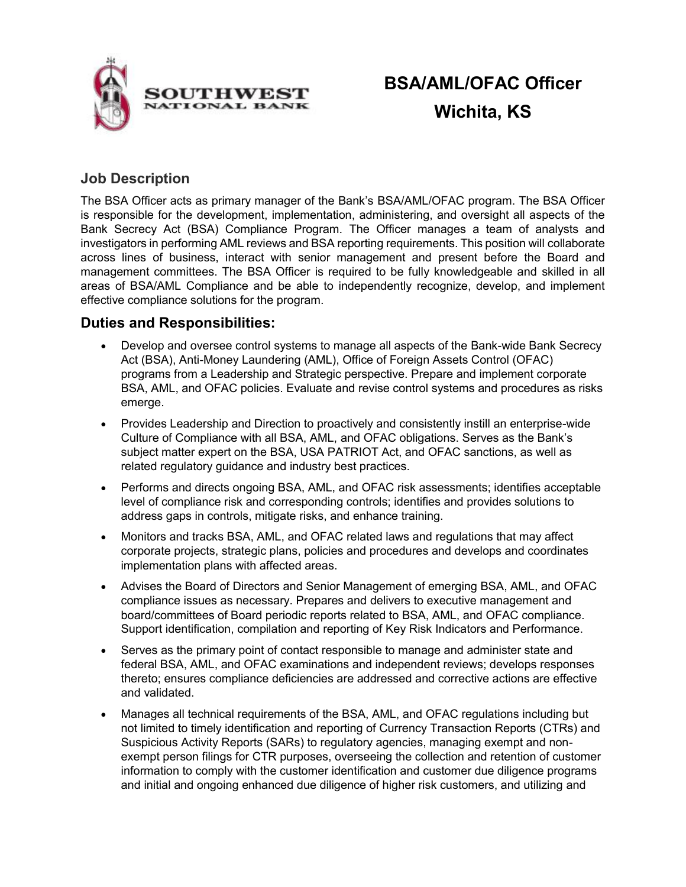

# **BSA/AML/OFAC Officer Wichita, KS**

## **Job Description**

The BSA Officer acts as primary manager of the Bank's BSA/AML/OFAC program. The BSA Officer is responsible for the development, implementation, administering, and oversight all aspects of the Bank Secrecy Act (BSA) Compliance Program. The Officer manages a team of analysts and investigators in performing AML reviews and BSA reporting requirements. This position will collaborate across lines of business, interact with senior management and present before the Board and management committees. The BSA Officer is required to be fully knowledgeable and skilled in all areas of BSA/AML Compliance and be able to independently recognize, develop, and implement effective compliance solutions for the program.

## **Duties and Responsibilities:**

- Develop and oversee control systems to manage all aspects of the Bank-wide Bank Secrecy Act (BSA), Anti-Money Laundering (AML), Office of Foreign Assets Control (OFAC) programs from a Leadership and Strategic perspective. Prepare and implement corporate BSA, AML, and OFAC policies. Evaluate and revise control systems and procedures as risks emerge.
- Provides Leadership and Direction to proactively and consistently instill an enterprise-wide Culture of Compliance with all BSA, AML, and OFAC obligations. Serves as the Bank's subject matter expert on the BSA, USA PATRIOT Act, and OFAC sanctions, as well as related regulatory guidance and industry best practices.
- Performs and directs ongoing BSA, AML, and OFAC risk assessments; identifies acceptable level of compliance risk and corresponding controls; identifies and provides solutions to address gaps in controls, mitigate risks, and enhance training.
- Monitors and tracks BSA, AML, and OFAC related laws and regulations that may affect corporate projects, strategic plans, policies and procedures and develops and coordinates implementation plans with affected areas.
- Advises the Board of Directors and Senior Management of emerging BSA, AML, and OFAC compliance issues as necessary. Prepares and delivers to executive management and board/committees of Board periodic reports related to BSA, AML, and OFAC compliance. Support identification, compilation and reporting of Key Risk Indicators and Performance.
- Serves as the primary point of contact responsible to manage and administer state and federal BSA, AML, and OFAC examinations and independent reviews; develops responses thereto; ensures compliance deficiencies are addressed and corrective actions are effective and validated.
- Manages all technical requirements of the BSA, AML, and OFAC regulations including but not limited to timely identification and reporting of Currency Transaction Reports (CTRs) and Suspicious Activity Reports (SARs) to regulatory agencies, managing exempt and nonexempt person filings for CTR purposes, overseeing the collection and retention of customer information to comply with the customer identification and customer due diligence programs and initial and ongoing enhanced due diligence of higher risk customers, and utilizing and